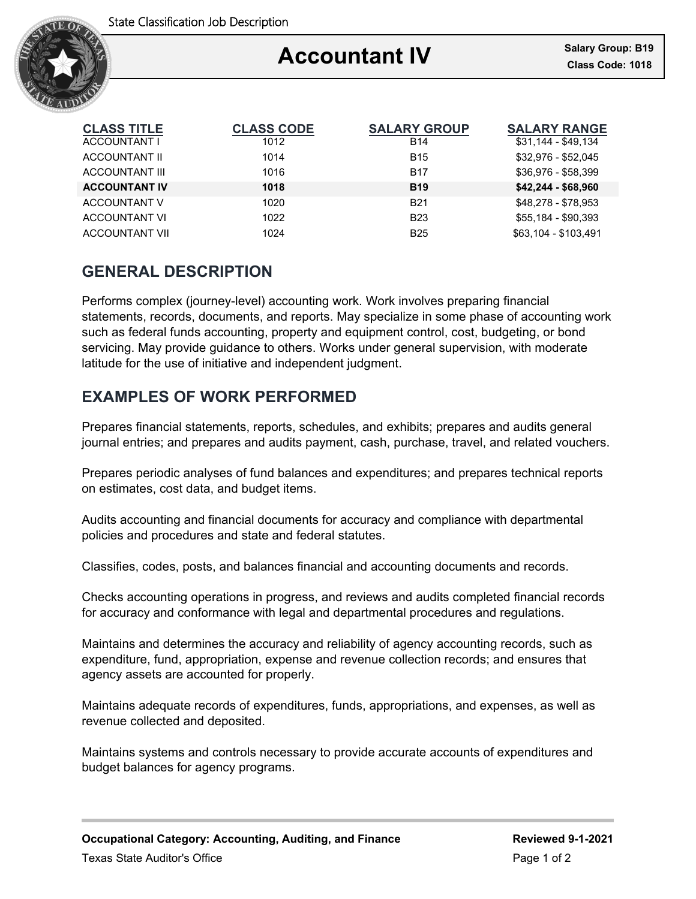

### Ξ **Accountant IV**

| <b>CLASS TITLE</b>    | <b>CLASS CODE</b> | <b>SALARY GROUP</b> | <b>SALARY RANGE</b>  |
|-----------------------|-------------------|---------------------|----------------------|
| ACCOUNTANT I          | 1012              | <b>B14</b>          | $$31,144 - $49,134$  |
| ACCOUNTANT II         | 1014              | <b>B15</b>          | \$32,976 - \$52,045  |
| <b>ACCOUNTANT III</b> | 1016              | <b>B17</b>          | \$36,976 - \$58,399  |
| <b>ACCOUNTANT IV</b>  | 1018              | <b>B19</b>          | $$42,244 - $68,960$  |
| ACCOUNTANT V          | 1020              | <b>B21</b>          | \$48,278 - \$78,953  |
| <b>ACCOUNTANT VI</b>  | 1022              | <b>B23</b>          | \$55.184 - \$90.393  |
| <b>ACCOUNTANT VII</b> | 1024              | <b>B25</b>          | \$63.104 - \$103.491 |

# **GENERAL DESCRIPTION**

Performs complex (journey-level) accounting work. Work involves preparing financial statements, records, documents, and reports. May specialize in some phase of accounting work such as federal funds accounting, property and equipment control, cost, budgeting, or bond servicing. May provide guidance to others. Works under general supervision, with moderate latitude for the use of initiative and independent judgment.

# **EXAMPLES OF WORK PERFORMED**

Prepares financial statements, reports, schedules, and exhibits; prepares and audits general journal entries; and prepares and audits payment, cash, purchase, travel, and related vouchers.

Prepares periodic analyses of fund balances and expenditures; and prepares technical reports on estimates, cost data, and budget items.

Audits accounting and financial documents for accuracy and compliance with departmental policies and procedures and state and federal statutes.

Classifies, codes, posts, and balances financial and accounting documents and records.

Checks accounting operations in progress, and reviews and audits completed financial records for accuracy and conformance with legal and departmental procedures and regulations.

Maintains and determines the accuracy and reliability of agency accounting records, such as expenditure, fund, appropriation, expense and revenue collection records; and ensures that agency assets are accounted for properly.

Maintains adequate records of expenditures, funds, appropriations, and expenses, as well as revenue collected and deposited.

Maintains systems and controls necessary to provide accurate accounts of expenditures and budget balances for agency programs.